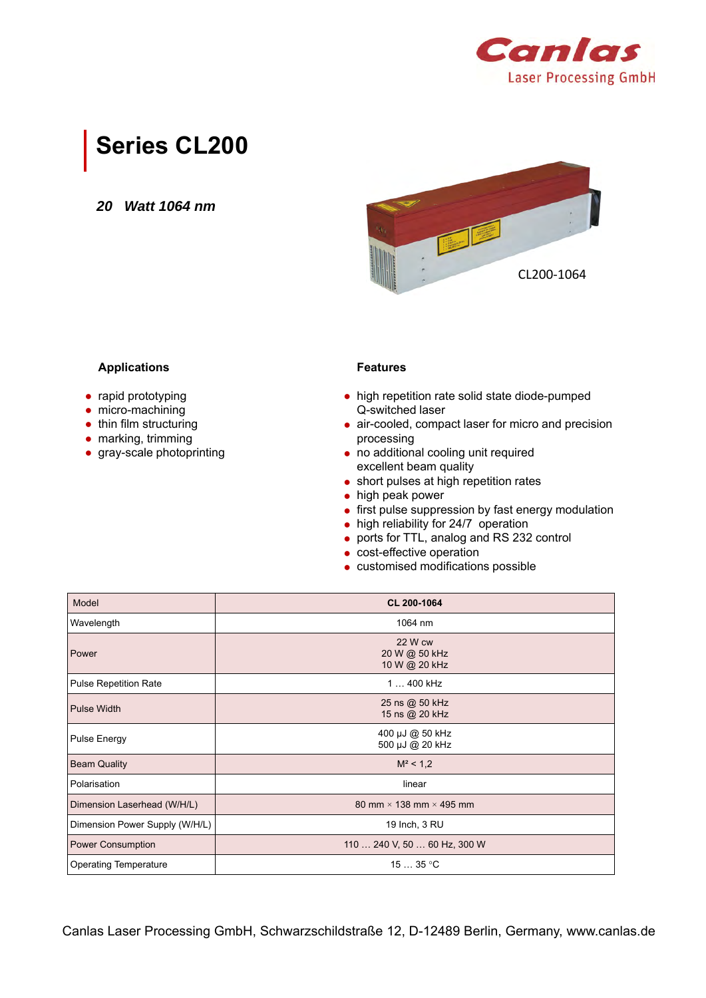

## **Series CL200**

*20 Watt 1064 nm*



### **Applications**

- rapid prototyping
- micro-machining
- thin film structuring
- marking, trimming
- gray-scale photoprinting

### **Features**

- high repetition rate solid state diode-pumped Q-switched laser
- air-cooled, compact laser for micro and precision processing
- no additional cooling unit required excellent beam quality
- short pulses at high repetition rates
- high peak power
- first pulse suppression by fast energy modulation
- high reliability for 24/7 operation
- ports for TTL, analog and RS 232 control
- cost-effective operation
- customised modifications possible

| Model                          | CL 200-1064                               |  |
|--------------------------------|-------------------------------------------|--|
| Wavelength                     | 1064 nm                                   |  |
| Power                          | 22 W cw<br>20 W @ 50 kHz<br>10 W @ 20 kHz |  |
| <b>Pulse Repetition Rate</b>   | 1  400 kHz                                |  |
| <b>Pulse Width</b>             | 25 ns @ 50 kHz<br>15 ns @ 20 kHz          |  |
| Pulse Energy                   | 400 µJ @ 50 kHz<br>500 µJ @ 20 kHz        |  |
| <b>Beam Quality</b>            | $M^2$ < 1,2                               |  |
| Polarisation                   | linear                                    |  |
| Dimension Laserhead (W/H/L)    | 80 mm $\times$ 138 mm $\times$ 495 mm     |  |
| Dimension Power Supply (W/H/L) | 19 Inch, 3 RU                             |  |
| <b>Power Consumption</b>       | 110  240 V, 50  60 Hz, 300 W              |  |
| <b>Operating Temperature</b>   | 1535 °C                                   |  |